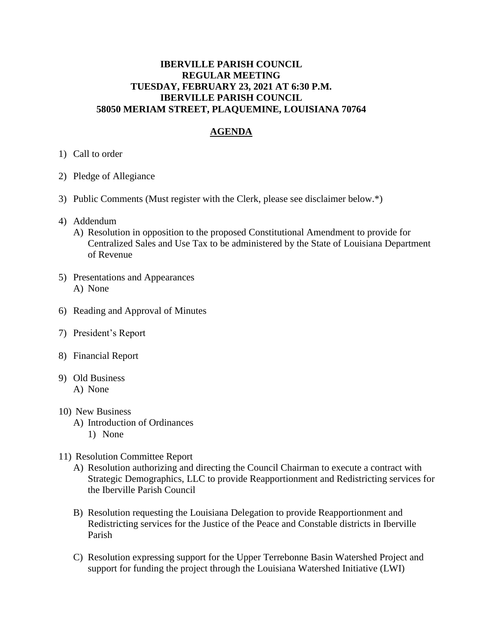## **IBERVILLE PARISH COUNCIL REGULAR MEETING TUESDAY, FEBRUARY 23, 2021 AT 6:30 P.M. IBERVILLE PARISH COUNCIL 58050 MERIAM STREET, PLAQUEMINE, LOUISIANA 70764**

## **AGENDA**

- 1) Call to order
- 2) Pledge of Allegiance
- 3) Public Comments (Must register with the Clerk, please see disclaimer below.\*)
- 4) Addendum
	- A) Resolution in opposition to the proposed Constitutional Amendment to provide for Centralized Sales and Use Tax to be administered by the State of Louisiana Department of Revenue
- 5) Presentations and Appearances A) None
- 6) Reading and Approval of Minutes
- 7) President's Report
- 8) Financial Report
- 9) Old Business
	- A) None
- 10) New Business
	- A) Introduction of Ordinances
		- 1) None
- 11) Resolution Committee Report
	- A) Resolution authorizing and directing the Council Chairman to execute a contract with Strategic Demographics, LLC to provide Reapportionment and Redistricting services for the Iberville Parish Council
	- B) Resolution requesting the Louisiana Delegation to provide Reapportionment and Redistricting services for the Justice of the Peace and Constable districts in Iberville Parish
	- C) Resolution expressing support for the Upper Terrebonne Basin Watershed Project and support for funding the project through the Louisiana Watershed Initiative (LWI)